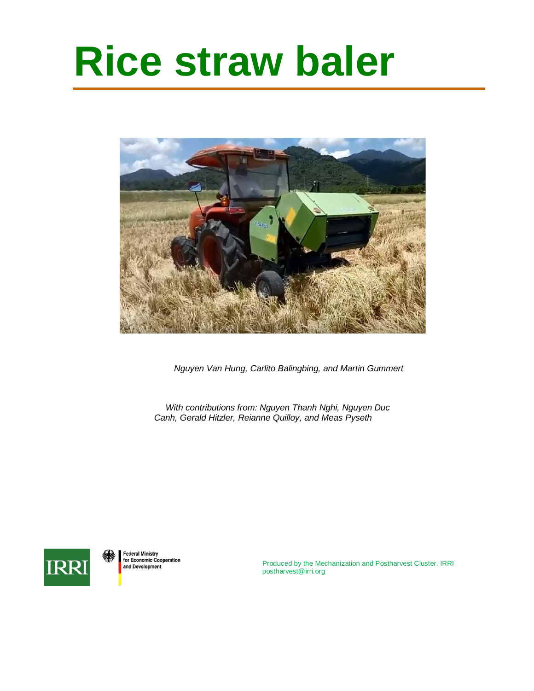# **Rice straw baler**



*Nguyen Van Hung, Carlito Balingbing, and Martin Gummert*

*With contributions from: Nguyen Thanh Nghi, Nguyen Duc Canh, Gerald Hitzler, Reianne Quilloy, and Meas Pyseth*



**Federal Ministry** for Economic Cooperation and Development

Produced by the Mechanization and Postharvest Cluster, IRRI [postharvest@irri.org](mailto:postharvest@irri.org)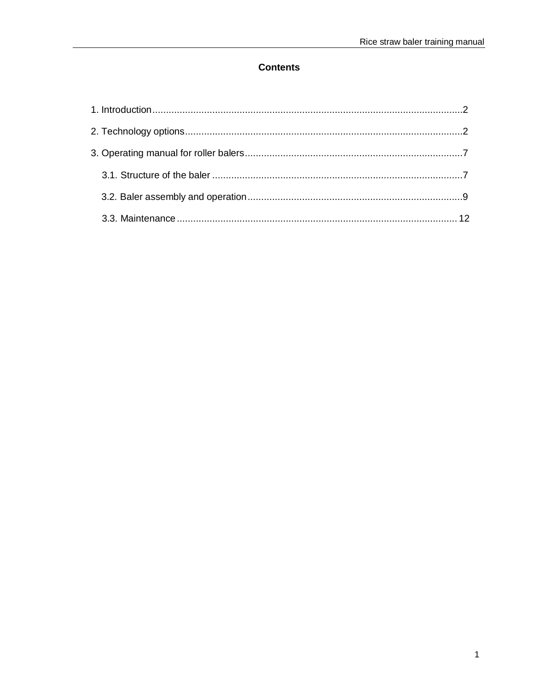# **Contents**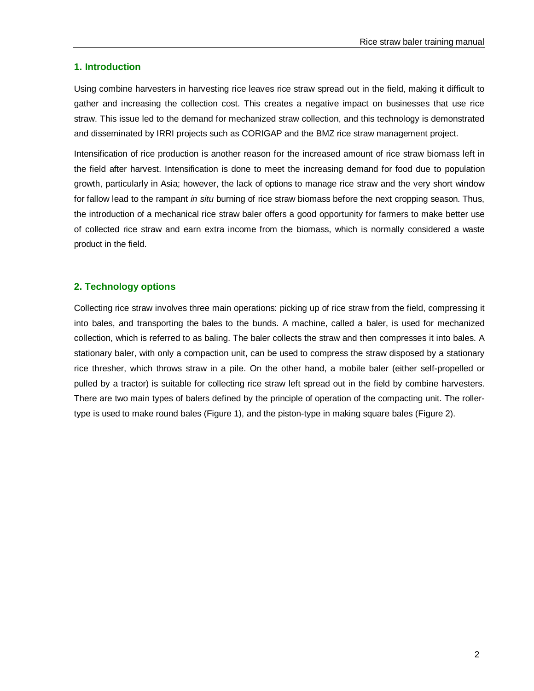#### <span id="page-2-0"></span>**1. Introduction**

Using combine harvesters in harvesting rice leaves rice straw spread out in the field, making it difficult to gather and increasing the collection cost. This creates a negative impact on businesses that use rice straw. This issue led to the demand for mechanized straw collection, and this technology is demonstrated and disseminated by IRRI projects such as CORIGAP and the BMZ rice straw management project.

Intensification of rice production is another reason for the increased amount of rice straw biomass left in the field after harvest. Intensification is done to meet the increasing demand for food due to population growth, particularly in Asia; however, the lack of options to manage rice straw and the very short window for fallow lead to the rampant *in situ* burning of rice straw biomass before the next cropping season. Thus, the introduction of a mechanical rice straw baler offers a good opportunity for farmers to make better use of collected rice straw and earn extra income from the biomass, which is normally considered a waste product in the field.

#### <span id="page-2-1"></span>**2. Technology options**

Collecting rice straw involves three main operations: picking up of rice straw from the field, compressing it into bales, and transporting the bales to the bunds. A machine, called a baler, is used for mechanized collection, which is referred to as baling. The baler collects the straw and then compresses it into bales. A stationary baler, with only a compaction unit, can be used to compress the straw disposed by a stationary rice thresher, which throws straw in a pile. On the other hand, a mobile baler (either self-propelled or pulled by a tractor) is suitable for collecting rice straw left spread out in the field by combine harvesters. There are two main types of balers defined by the principle of operation of the compacting unit. The rollertype is used to make round bales (Figure 1), and the piston-type in making square bales (Figure 2).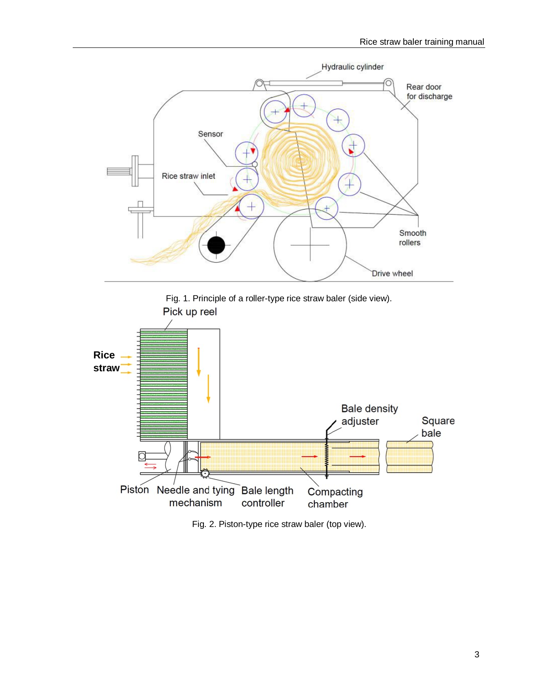



Fig. 2. Piston-type rice straw baler (top view).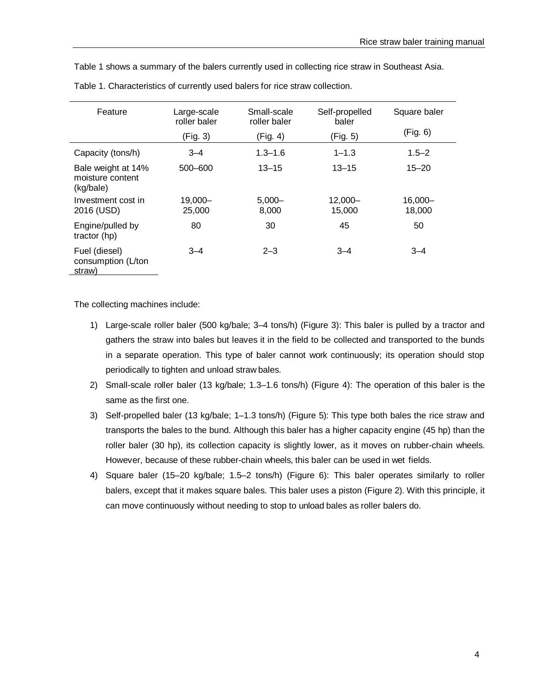Table 1 shows a summary of the balers currently used in collecting rice straw in Southeast Asia.

| Feature                                             | Large-scale<br>roller baler | Small-scale<br>roller baler | Self-propelled<br>baler | Square baler         |
|-----------------------------------------------------|-----------------------------|-----------------------------|-------------------------|----------------------|
|                                                     | (Fig. 3)                    | (Fig. 4)                    | (Fig. 5)                | (Fig. 6)             |
| Capacity (tons/h)                                   | $3 - 4$                     | $1.3 - 1.6$                 | $1 - 1.3$               | $1.5 - 2$            |
| Bale weight at 14%<br>moisture content<br>(kg/bale) | $500 - 600$                 | $13 - 15$                   | $13 - 15$               | $15 - 20$            |
| Investment cost in<br>2016 (USD)                    | $19,000 -$<br>25,000        | $5,000-$<br>8,000           | $12,000 -$<br>15.000    | $16,000 -$<br>18.000 |
| Engine/pulled by<br>tractor (hp)                    | 80                          | 30                          | 45                      | 50                   |
| Fuel (diesel)<br>consumption (L/ton<br>straw)       | $3 - 4$                     | $2 - 3$                     | $3 - 4$                 | $3 - 4$              |

Table 1. Characteristics of currently used balers for rice straw collection.

The collecting machines include:

- 1) Large-scale roller baler (500 kg/bale; 3–4 tons/h) (Figure 3): This baler is pulled by a tractor and gathers the straw into bales but leaves it in the field to be collected and transported to the bunds in a separate operation. This type of baler cannot work continuously; its operation should stop periodically to tighten and unload straw bales.
- 2) Small-scale roller baler (13 kg/bale; 1.3–1.6 tons/h) (Figure 4): The operation of this baler is the same as the first one.
- 3) Self-propelled baler (13 kg/bale; 1–1.3 tons/h) (Figure 5): This type both bales the rice straw and transports the bales to the bund. Although this baler has a higher capacity engine (45 hp) than the roller baler (30 hp), its collection capacity is slightly lower, as it moves on rubber-chain wheels. However, because of these rubber-chain wheels, this baler can be used in wet fields.
- 4) Square baler (15–20 kg/bale; 1.5–2 tons/h) (Figure 6): This baler operates similarly to roller balers, except that it makes square bales. This baler uses a piston (Figure 2). With this principle, it can move continuously without needing to stop to unload bales as roller balers do.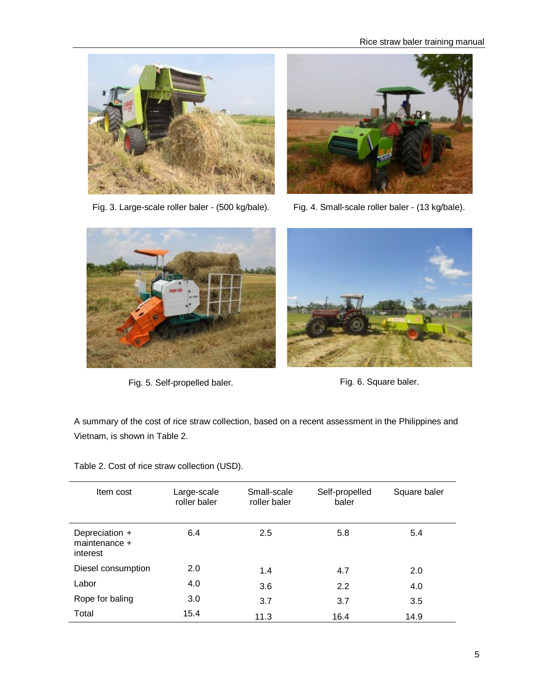



Fig. 3. Large-scale roller baler - (500 kg/bale). Fig. 4. Small-scale roller baler - (13 kg/bale).



Fig. 5. Self-propelled baler. The state of the Fig. 6. Square baler.



A summary of the cost of rice straw collection, based on a recent assessment in the Philippines and Vietnam, is shown in Table 2.

Table 2. Cost of rice straw collection (USD).

| Item cost                                   | Large-scale<br>roller baler | Small-scale<br>roller baler | Self-propelled<br>baler | Square baler |
|---------------------------------------------|-----------------------------|-----------------------------|-------------------------|--------------|
| Depreciation +<br>maintenance +<br>interest | 6.4                         | 2.5                         | 5.8                     | 5.4          |
| Diesel consumption                          | 2.0                         | 1.4                         | 4.7                     | 2.0          |
| Labor                                       | 4.0                         | 3.6                         | 2.2                     | 4.0          |
| Rope for baling                             | 3.0                         | 3.7                         | 3.7                     | 3.5          |
| Total                                       | 15.4                        | 11.3                        | 16.4                    | 14.9         |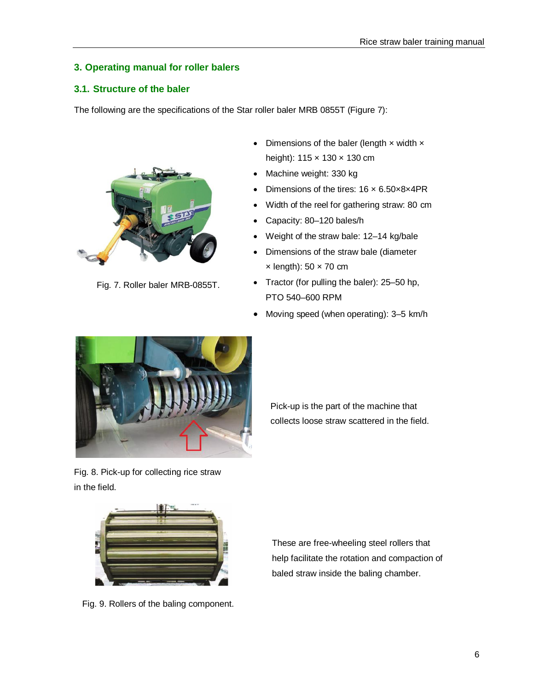# <span id="page-6-0"></span>**3. Operating manual for roller balers**

#### <span id="page-6-1"></span>**3.1. Structure of the baler**

The following are the specifications of the Star roller baler MRB 0855T (Figure 7):



Fig. 7. Roller baler MRB-0855T.

- Dimensions of the baler (length  $\times$  width  $\times$ height): 115 x 130 x 130 cm
- Machine weight: 330 kg
- Dimensions of the tires: 16 × 6.50×8×4PR
- Width of the reel for gathering straw: 80 cm
- Capacity: 80–120 bales/h
- Weight of the straw bale: 12–14 kg/bale
- Dimensions of the straw bale (diameter  $\times$  length): 50  $\times$  70 cm
- Tractor (for pulling the baler): 25–50 hp, PTO 540–600 RPM
- Moving speed (when operating): 3–5 km/h



Fig. 8. Pick-up for collecting rice straw in the field.

Pick-up is the part of the machine that collects loose straw scattered in the field.



Fig. 9. Rollers of the baling component.

These are free-wheeling steel rollers that help facilitate the rotation and compaction of baled straw inside the baling chamber.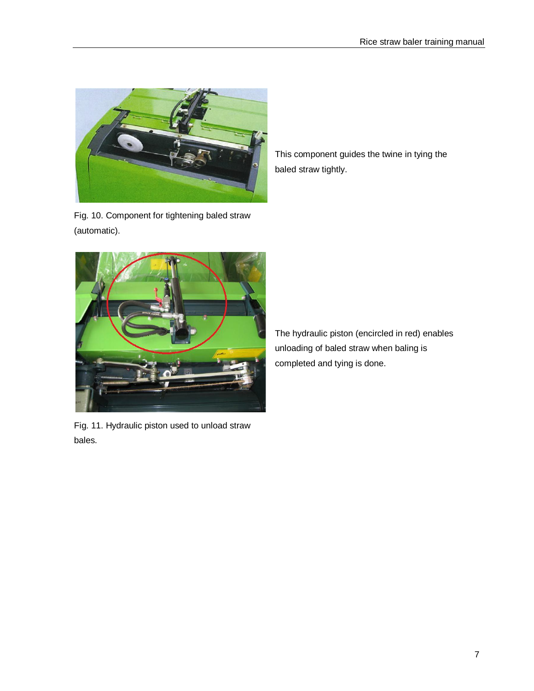

Fig. 10. Component for tightening baled straw (automatic).

This component guides the twine in tying the baled straw tightly.



The hydraulic piston (encircled in red) enables unloading of baled straw when baling is completed and tying is done.

Fig. 11. Hydraulic piston used to unload straw bales.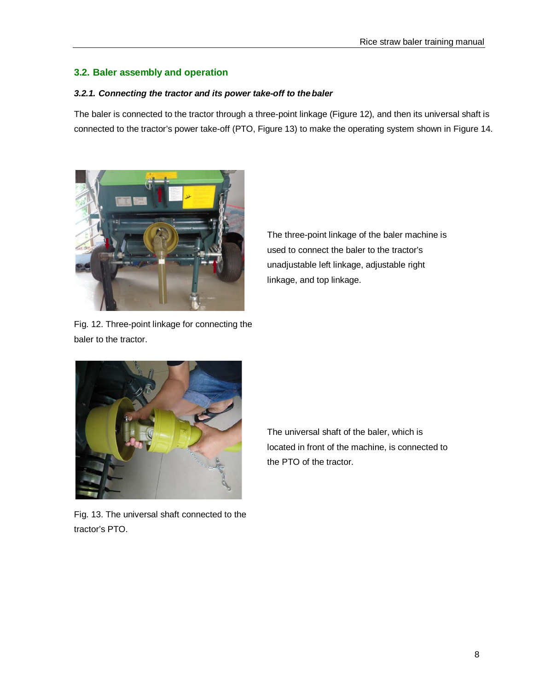### <span id="page-8-0"></span>**3.2. Baler assembly and operation**

#### *3.2.1. Connecting the tractor and its power take-off to thebaler*

The baler is connected to the tractor through a three-point linkage (Figure 12), and then its universal shaft is connected to the tractor's power take-off (PTO, Figure 13) to make the operating system shown in Figure 14.



Fig. 12. Three-point linkage for connecting the baler to the tractor.

The three-point linkage of the baler machine is used to connect the baler to the tractor's unadjustable left linkage, adjustable right linkage, and top linkage.



Fig. 13. The universal shaft connected to the tractor's PTO.

The universal shaft of the baler, which is located in front of the machine, is connected to the PTO of the tractor.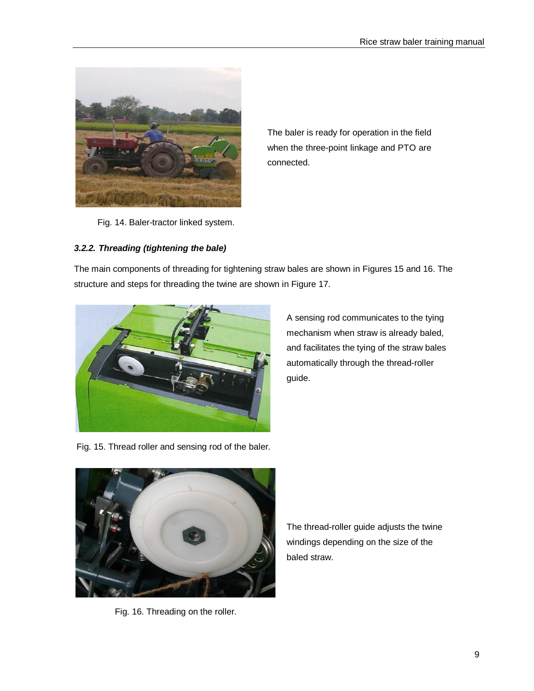

The baler is ready for operation in the field when the three-point linkage and PTO are connected.

Fig. 14. Baler-tractor linked system.

# *3.2.2. Threading (tightening the bale)*

The main components of threading for tightening straw bales are shown in Figures 15 and 16. The structure and steps for threading the twine are shown in Figure 17.



A sensing rod communicates to the tying mechanism when straw is already baled, and facilitates the tying of the straw bales automatically through the thread-roller guide.

Fig. 15. Thread roller and sensing rod of the baler.



Fig. 16. Threading on the roller.

The thread-roller guide adjusts the twine windings depending on the size of the baled straw.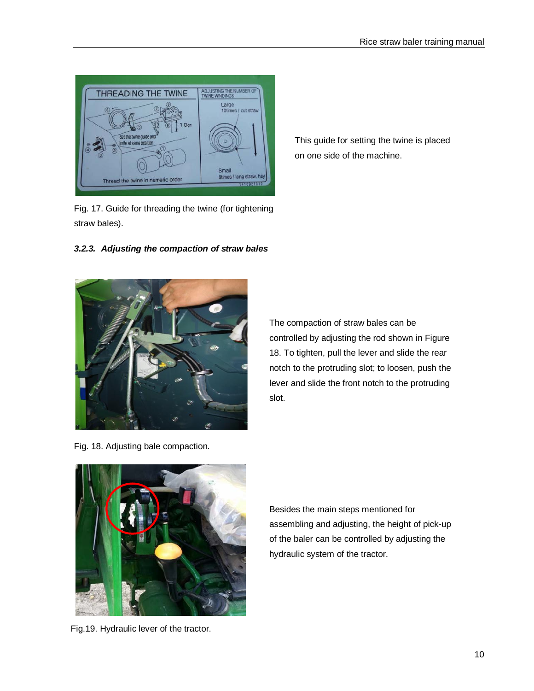

Fig. 17. Guide for threading the twine (for tightening straw bales).

*3.2.3. Adjusting the compaction of straw bales*



The compaction of straw bales can be controlled by adjusting the rod shown in Figure 18. To tighten, pull the lever and slide the rear notch to the protruding slot; to loosen, push the lever and slide the front notch to the protruding slot.

Fig. 18. Adjusting bale compaction.



Fig.19. Hydraulic lever of the tractor.

Besides the main steps mentioned for assembling and adjusting, the height of pick-up of the baler can be controlled by adjusting the hydraulic system of the tractor.

# This guide for setting the twine is placed on one side of the machine.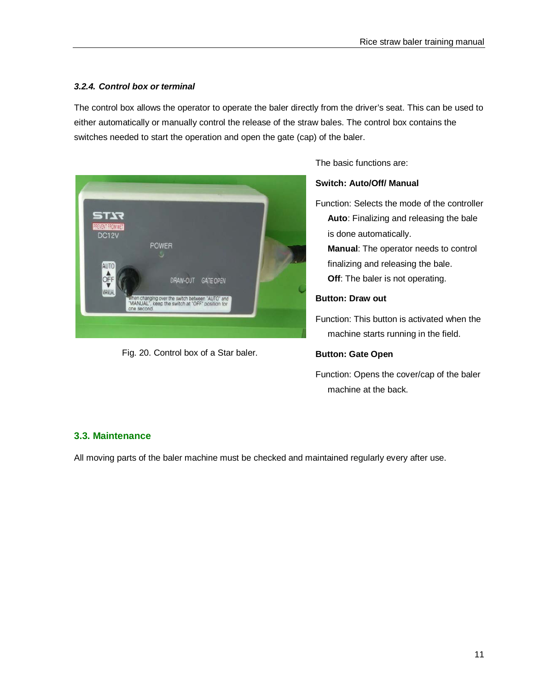# *3.2.4. Control box or terminal*

The control box allows the operator to operate the baler directly from the driver's seat. This can be used to either automatically or manually control the release of the straw bales. The control box contains the switches needed to start the operation and open the gate (cap) of the baler.



Fig. 20. Control box of a Star baler.

The basic functions are:

#### **Switch: Auto/Off/ Manual**

Function: Selects the mode of the controller **Auto**: Finalizing and releasing the bale is done automatically.

**Manual**: The operator needs to control finalizing and releasing the bale. **Off:** The baler is not operating.

#### **Button: Draw out**

Function: This button is activated when the machine starts running in the field.

#### **Button: Gate Open**

Function: Opens the cover/cap of the baler machine at the back.

# <span id="page-11-0"></span>**3.3. Maintenance**

All moving parts of the baler machine must be checked and maintained regularly every after use.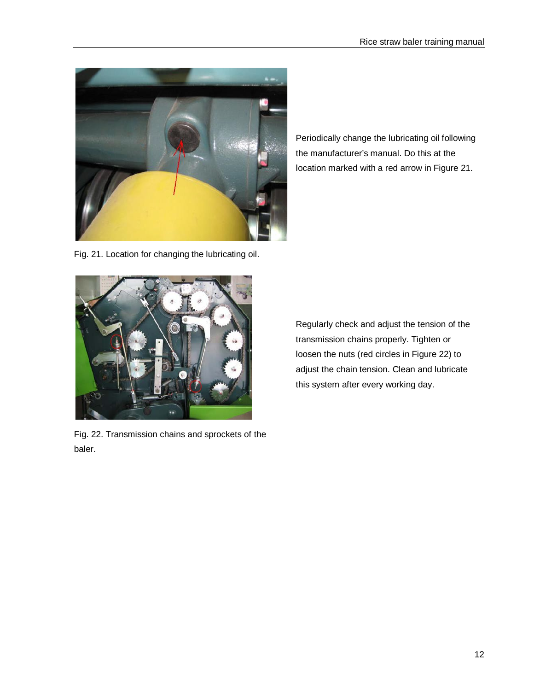

Fig. 21. Location for changing the lubricating oil.

Fig. 22. Transmission chains and sprockets of the baler.

Periodically change the lubricating oil following the manufacturer's manual. Do this at the location marked with a red arrow in Figure 21.

Regularly check and adjust the tension of the transmission chains properly. Tighten or loosen the nuts (red circles in Figure 22) to adjust the chain tension. Clean and lubricate this system after every working day.